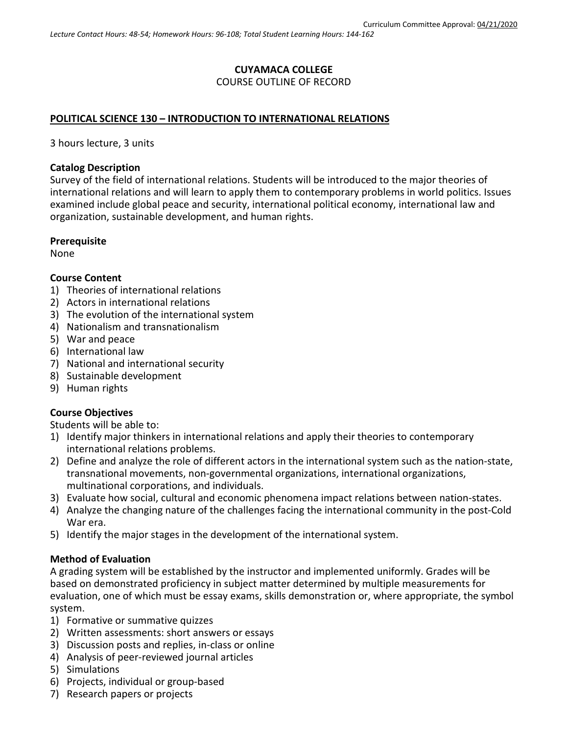## **CUYAMACA COLLEGE** COURSE OUTLINE OF RECORD

### **POLITICAL SCIENCE 130 – INTRODUCTION TO INTERNATIONAL RELATIONS**

3 hours lecture, 3 units

#### **Catalog Description**

Survey of the field of international relations. Students will be introduced to the major theories of international relations and will learn to apply them to contemporary problems in world politics. Issues examined include global peace and security, international political economy, international law and organization, sustainable development, and human rights.

#### **Prerequisite**

None

#### **Course Content**

- 1) Theories of international relations
- 2) Actors in international relations
- 3) The evolution of the international system
- 4) Nationalism and transnationalism
- 5) War and peace
- 6) International law
- 7) National and international security
- 8) Sustainable development
- 9) Human rights

#### **Course Objectives**

Students will be able to:

- 1) Identify major thinkers in international relations and apply their theories to contemporary international relations problems.
- 2) Define and analyze the role of different actors in the international system such as the nation-state, transnational movements, non-governmental organizations, international organizations, multinational corporations, and individuals.
- 3) Evaluate how social, cultural and economic phenomena impact relations between nation-states.
- 4) Analyze the changing nature of the challenges facing the international community in the post-Cold War era.
- 5) Identify the major stages in the development of the international system.

### **Method of Evaluation**

A grading system will be established by the instructor and implemented uniformly. Grades will be based on demonstrated proficiency in subject matter determined by multiple measurements for evaluation, one of which must be essay exams, skills demonstration or, where appropriate, the symbol system.

- 1) Formative or summative quizzes
- 2) Written assessments: short answers or essays
- 3) Discussion posts and replies, in-class or online
- 4) Analysis of peer-reviewed journal articles
- 5) Simulations
- 6) Projects, individual or group-based
- 7) Research papers or projects